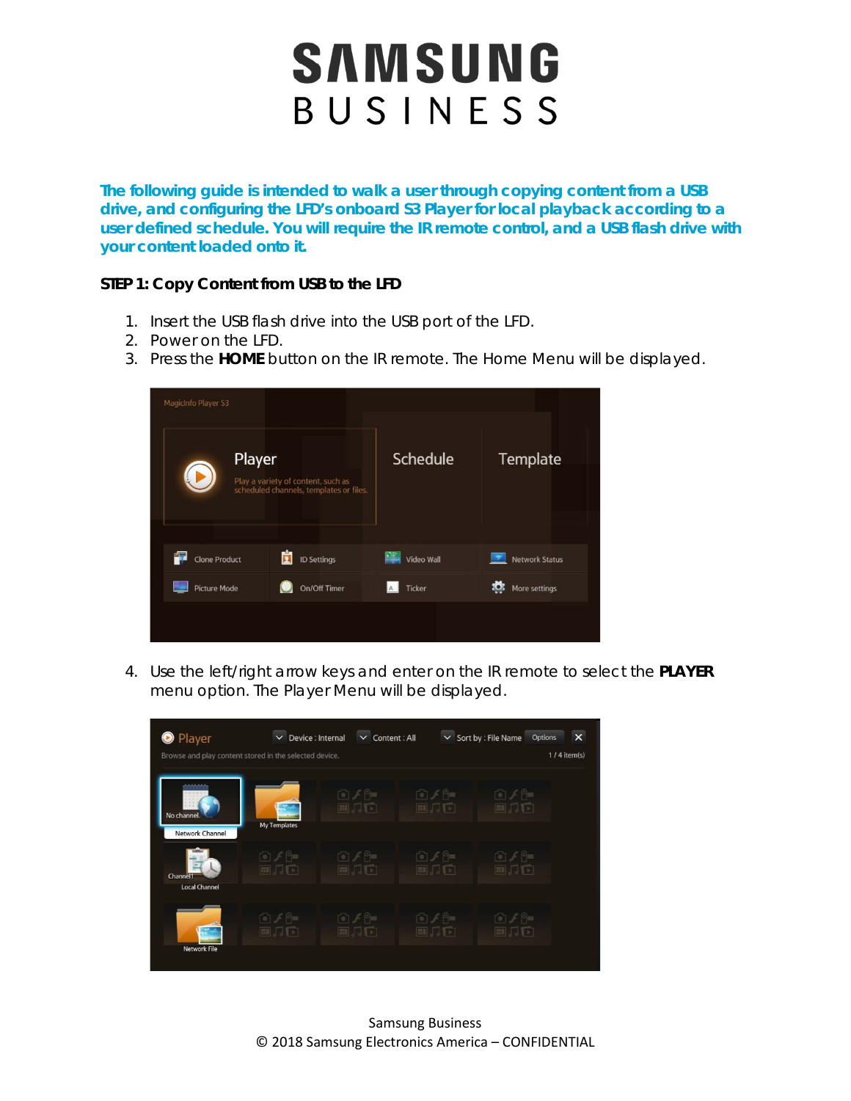**The following guide is intended to walk a user through copying content from a USB drive, and configuring the LFD's onboard S3 Player for local playback according to a user defined schedule. You will require the IR remote control, and a USB flash drive with your content loaded onto it.** 

#### **STEP 1: Copy Content from USB to the LFD**

- 1. Insert the USB flash drive into the USB port of the LFD.
- 2. Power on the LFD.
- 3. Press the **HOME** button on the IR remote. The Home Menu will be displayed.

| MagicInfo Player S3       |                                                                               |            |                           |
|---------------------------|-------------------------------------------------------------------------------|------------|---------------------------|
| Player                    | Play a variety of content, such as<br>scheduled channels, templates or files. | Schedule   | <b>Template</b>           |
|                           |                                                                               |            |                           |
| T<br><b>Clone Product</b> | ñ<br><b>ID Settings</b>                                                       | Video Wall | <b>Network Status</b>     |
| <b>Picture Mode</b>       | On/Off Timer                                                                  | Ticker     | <u>Ю</u><br>More settings |
|                           |                                                                               |            |                           |

4. Use the left/right arrow keys and enter on the IR remote to select the **PLAYER** menu option. The Player Menu will be displayed.

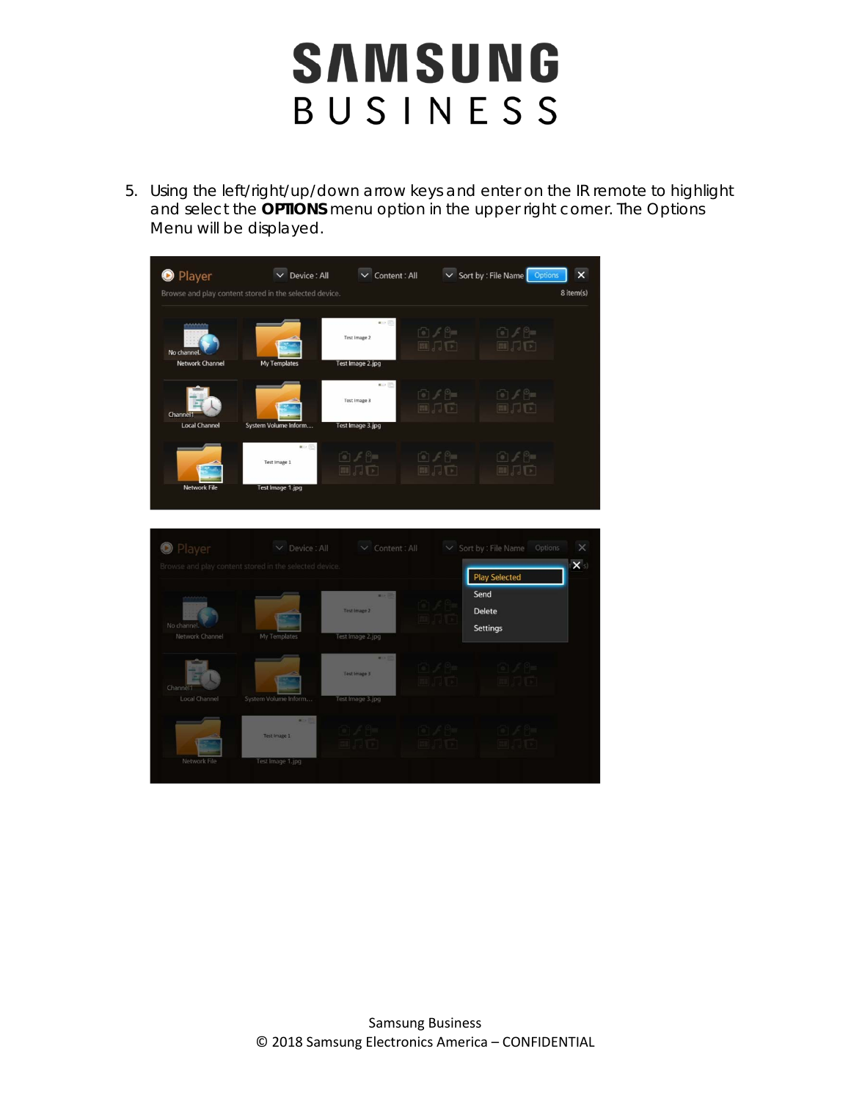5. Using the left/right/up/down arrow keys and enter on the IR remote to highlight and select the **OPTIONS** menu option in the upper right corner. The Options Menu will be displayed.

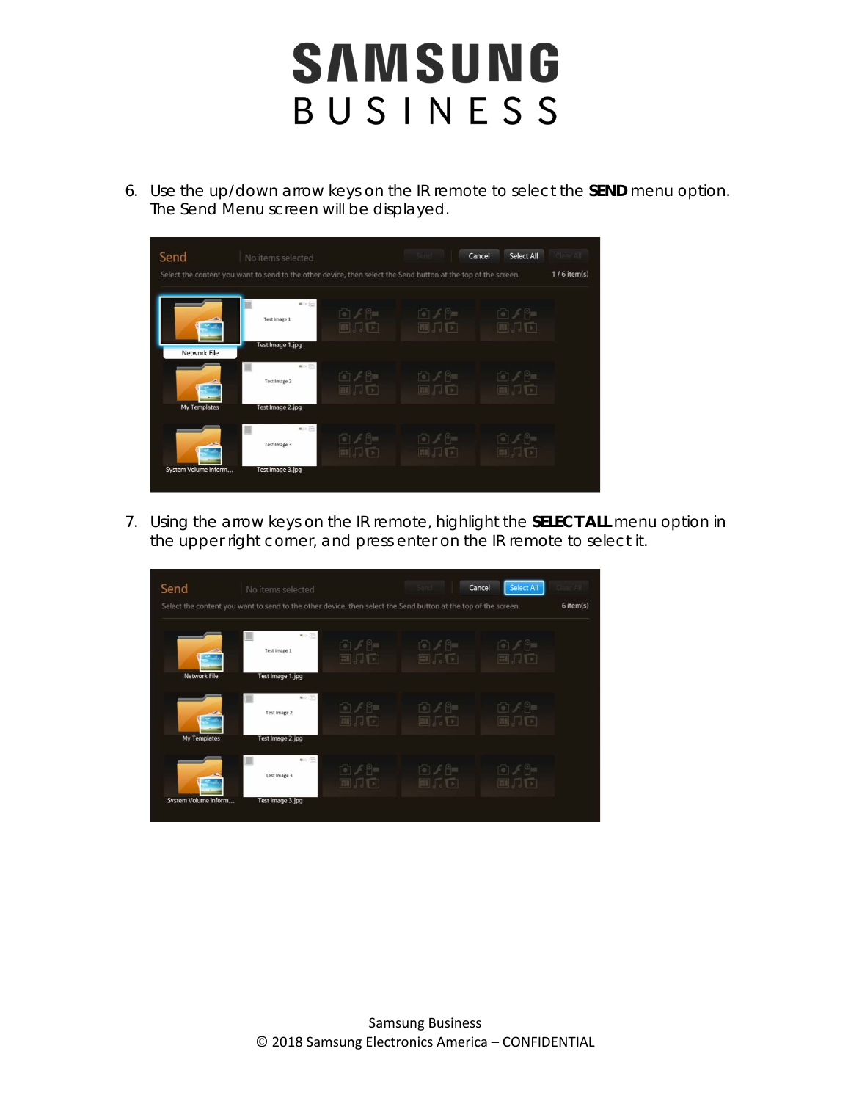6. Use the up/down arrow keys on the IR remote to select the **SEND** menu option. The Send Menu screen will be displayed.



7. Using the arrow keys on the IR remote, highlight the **SELECT ALL** menu option in the upper right corner, and press enter on the IR remote to select it.

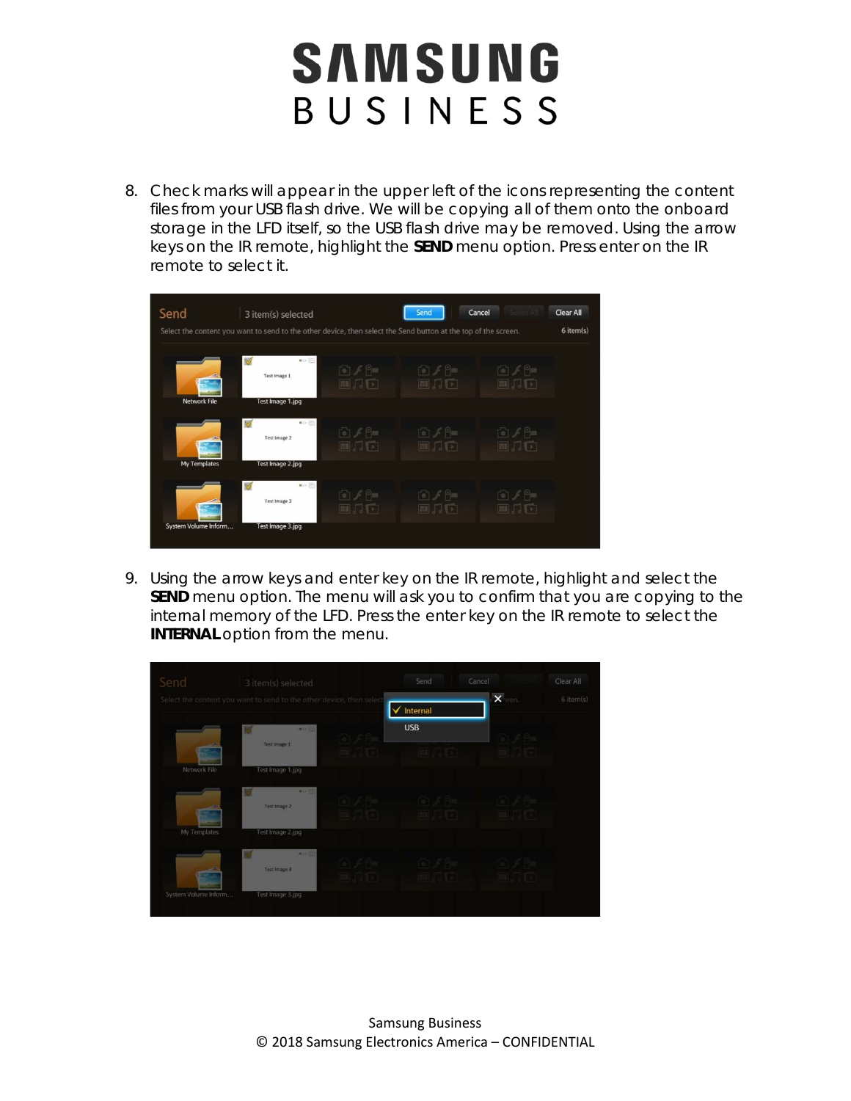8. Check marks will appear in the upper left of the icons representing the content files from your USB flash drive. We will be copying all of them onto the onboard storage in the LFD itself, so the USB flash drive may be removed. Using the arrow keys on the IR remote, highlight the **SEND** menu option. Press enter on the IR remote to select it.



9. Using the arrow keys and enter key on the IR remote, highlight and select the **SEND** menu option. The menu will ask you to confirm that you are copying to the internal memory of the LFD. Press the enter key on the IR remote to select the **INTERNAL** option from the menu.

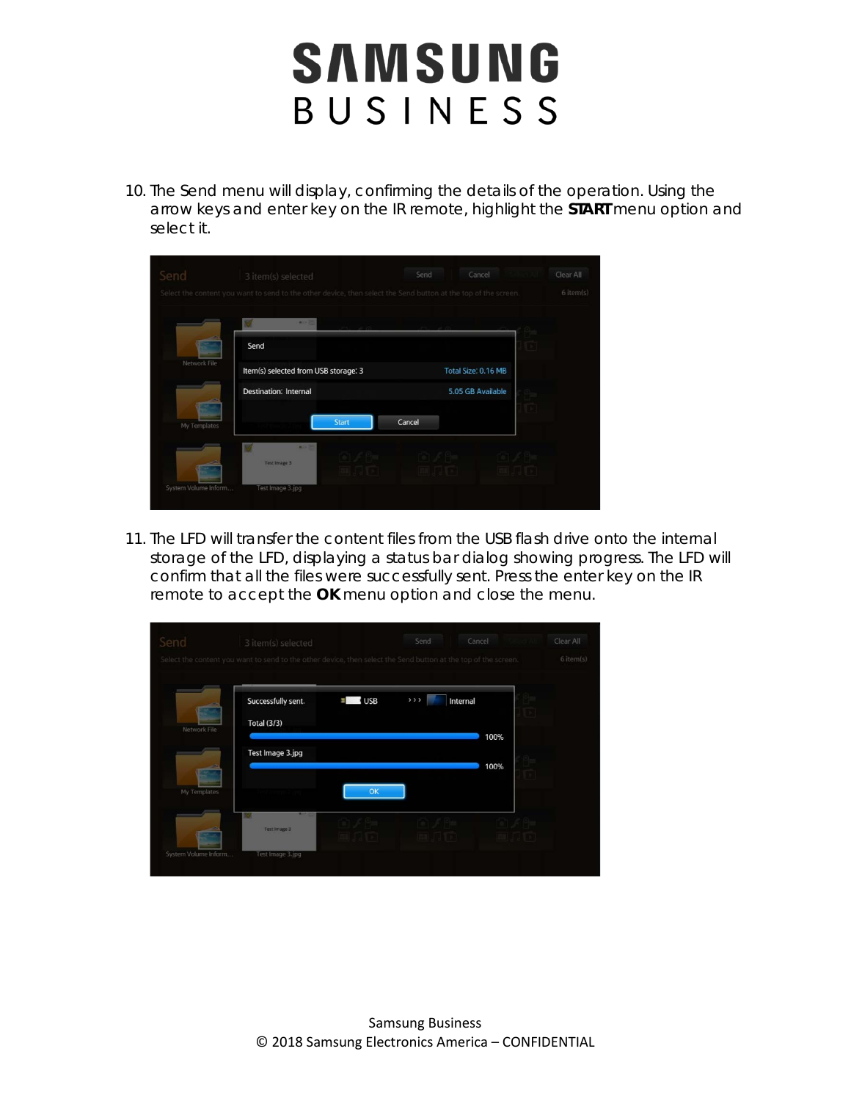10. The Send menu will display, confirming the details of the operation. Using the arrow keys and enter key on the IR remote, highlight the **START** menu option and select it.

| Send                 | 3 item(s) selected                                                                                             |       | Send   | Cancel              | Clear All |
|----------------------|----------------------------------------------------------------------------------------------------------------|-------|--------|---------------------|-----------|
|                      | Select the content you want to send to the other device, then select the Send button at the top of the screen. |       |        |                     | 6 item(s) |
|                      | <b>BOOK</b>                                                                                                    |       |        |                     |           |
|                      | Send                                                                                                           |       |        |                     |           |
| Network File         | Item(s) selected from USB storage: 3                                                                           |       |        | Total Size. 0.16 MB |           |
|                      | <b>Destination: Internal</b>                                                                                   |       |        | 5.05 GB Available   |           |
| My Templates         |                                                                                                                | Start | Cancel |                     |           |
|                      | <b>MOLT</b><br>Test Image 3                                                                                    |       |        |                     |           |
| System Volume Inform | Test Image 3.jpg                                                                                               |       |        |                     |           |

11. The LFD will transfer the content files from the USB flash drive onto the internal storage of the LFD, displaying a status bar dialog showing progress. The LFD will confirm that all the files were successfully sent. Press the enter key on the IR remote to accept the **OK** menu option and close the menu.

| Send                 | 3 item(s) selected<br>Select the content you want to send to the other device, then select the Send button at the top of the screen. |              | Send    | Cancel       | Clear All<br>$6$ item(s) |
|----------------------|--------------------------------------------------------------------------------------------------------------------------------------|--------------|---------|--------------|--------------------------|
| Network File         | Successfully sent.<br><b>Total (3/3)</b>                                                                                             | $\equiv$ USB | $>$ > > | Internal     |                          |
|                      | Test Image 3.jpg                                                                                                                     |              |         | 100%<br>100% |                          |
| My Templates         |                                                                                                                                      | OK           |         |              |                          |
|                      | м<br>Test Image 3                                                                                                                    |              |         |              |                          |
| System Volume Inform | Test Image 3.jpg                                                                                                                     |              |         |              |                          |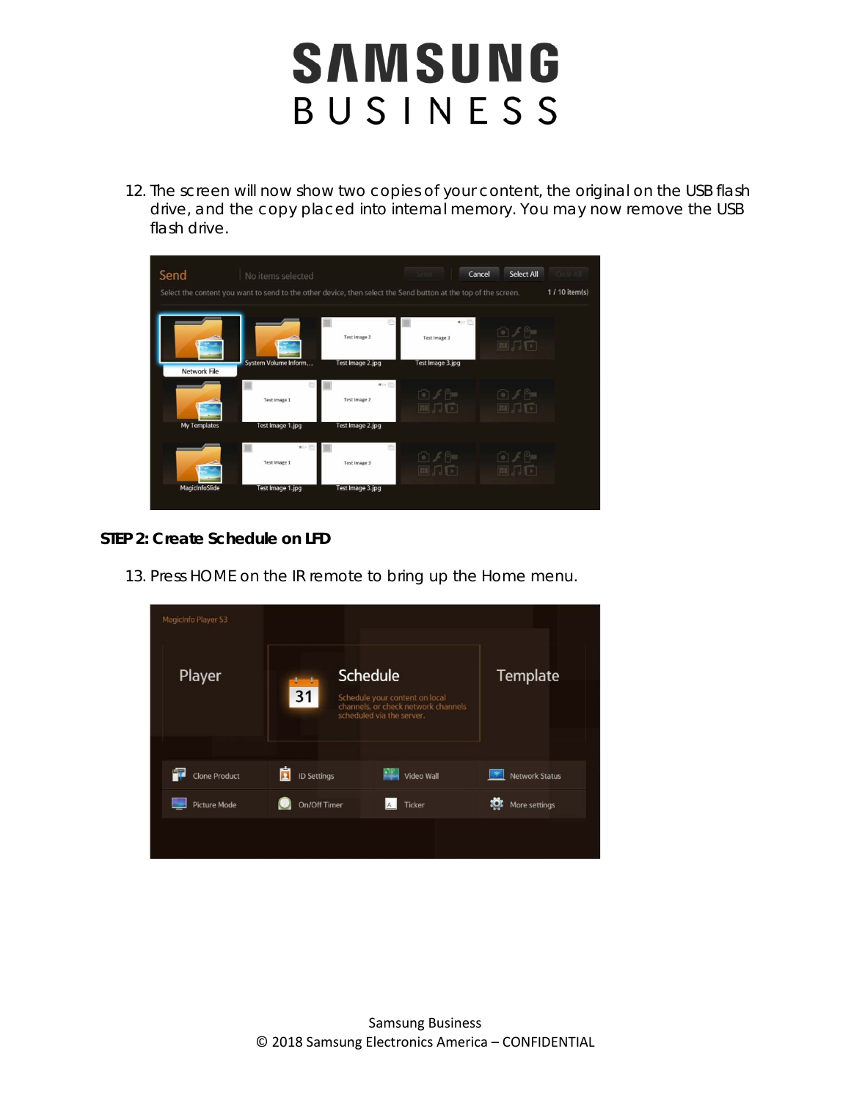12. The screen will now show two copies of your content, the original on the USB flash drive, and the copy placed into internal memory. You may now remove the USB flash drive.



#### **STEP 2: Create Schedule on LFD**

13. Press HOME on the IR remote to bring up the Home menu.

| MagicInfo Player S3       |                                                                                                                             |                 |                       |
|---------------------------|-----------------------------------------------------------------------------------------------------------------------------|-----------------|-----------------------|
| Player                    | <b>Schedule</b><br>31<br>Schedule your content on local<br>channels, or check network channels<br>scheduled via the server. | <b>Template</b> |                       |
|                           |                                                                                                                             |                 |                       |
| 7<br><b>Clone Product</b> | ñ<br><b>ID Settings</b>                                                                                                     | Video Wall      | <b>Network Status</b> |
| <b>Picture Mode</b>       | On/Off Timer                                                                                                                | Ticker          | More settings         |
|                           |                                                                                                                             |                 |                       |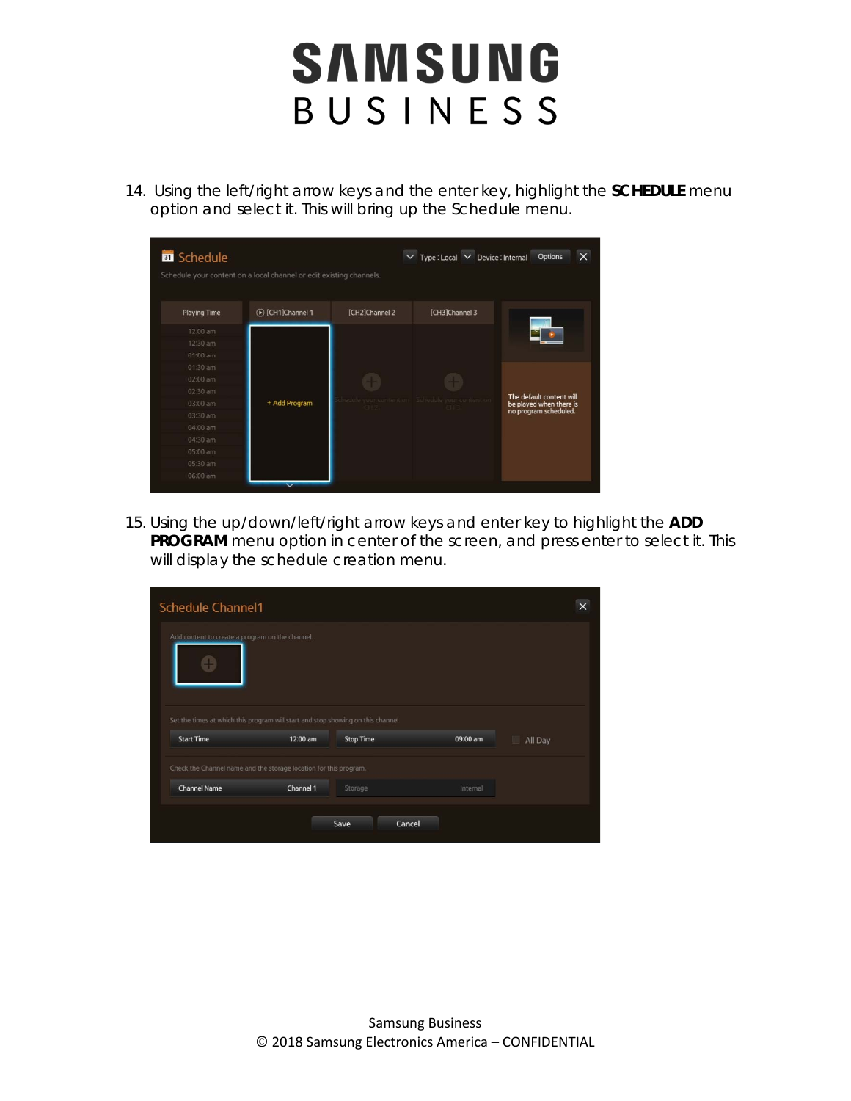14. Using the left/right arrow keys and the enter key, highlight the **SCHEDULE** menu option and select it. This will bring up the Schedule menu.

| <b>B</b> Schedule   |                                                                     |                | $\vee$ Type: Local $\vee$ Device: Internal | Options                  |
|---------------------|---------------------------------------------------------------------|----------------|--------------------------------------------|--------------------------|
|                     | Schedule your content on a local channel or edit existing channels. |                |                                            |                          |
| <b>Playing Time</b> | (b) [CH1]Channel 1                                                  | [CH2]Channel 2 | [CH3]Channel 3                             |                          |
| 12:00 am            |                                                                     |                |                                            |                          |
| 12:30 am            |                                                                     |                |                                            |                          |
| 01:00 am            |                                                                     |                |                                            |                          |
| 01:30 am            |                                                                     |                |                                            |                          |
| 02:00 am            |                                                                     |                |                                            |                          |
| 02:30 am            |                                                                     |                |                                            | The default content will |
| 03:00 am            | + Add Program                                                       |                | content on                                 | be played when there is  |
| 03:30 am            |                                                                     |                |                                            | no program scheduled.    |
| 04:00 am            |                                                                     |                |                                            |                          |
| 04:30 am            |                                                                     |                |                                            |                          |
| 05:00 am            |                                                                     |                |                                            |                          |
| 05:30 am            |                                                                     |                |                                            |                          |
| 06:00 am            |                                                                     |                |                                            |                          |

15. Using the up/down/left/right arrow keys and enter key to highlight the **ADD PROGRAM** menu option in center of the screen, and press enter to select it. This will display the schedule creation menu.

| Schedule Channel1                                                                |          |                  |          |         |
|----------------------------------------------------------------------------------|----------|------------------|----------|---------|
| Add content to create a program on the channel.                                  |          |                  |          |         |
| Set the times at which this program will start and stop showing on this channel. |          |                  |          |         |
|                                                                                  |          |                  |          |         |
| <b>Start Time</b>                                                                | 12:00 am | <b>Stop Time</b> | 09:00 am | All Day |
| Check the Channel name and the storage location for this program.                |          |                  |          |         |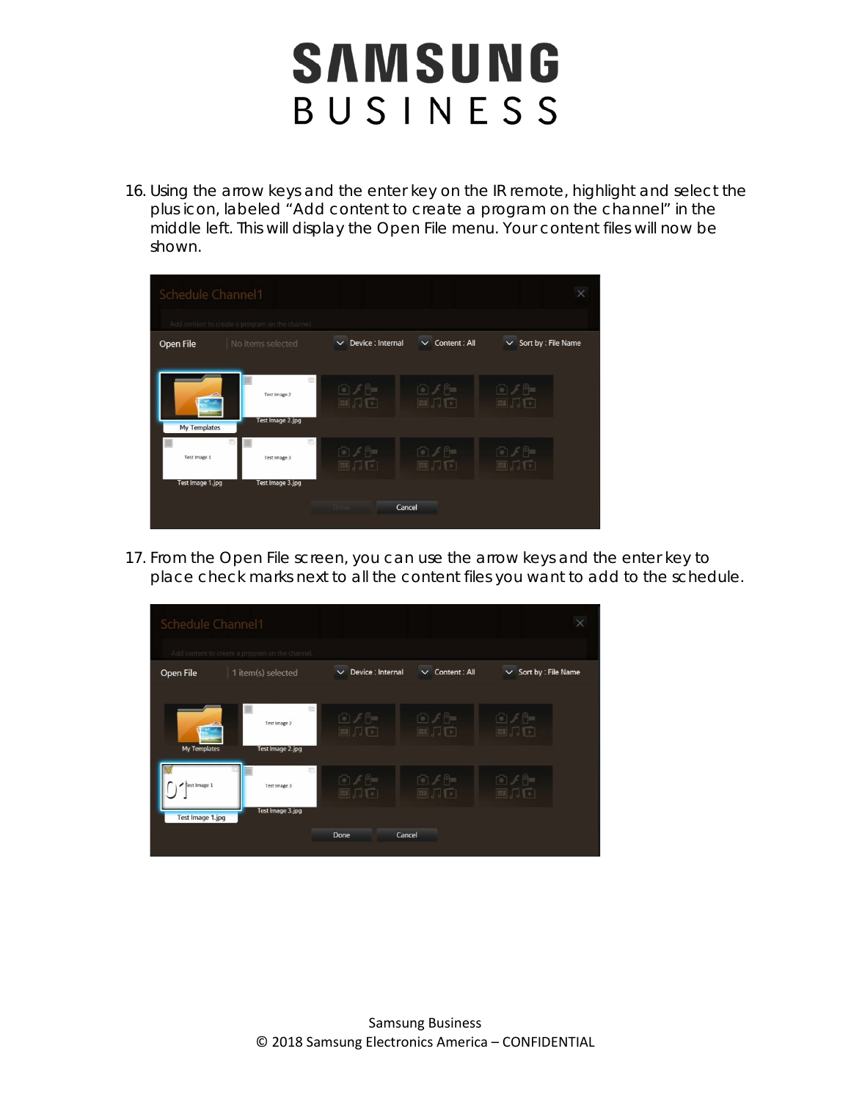16. Using the arrow keys and the enter key on the IR remote, highlight and select the plus icon, labeled "Add content to create a program on the channel" in the middle left. This will display the Open File menu. Your content files will now be shown.

| Schedule Channel1 | Add content to create a program on the channel. |                                      |                                         | $\times$                            |
|-------------------|-------------------------------------------------|--------------------------------------|-----------------------------------------|-------------------------------------|
| Open File         | No items selected                               | Device : Internal<br>$\checkmark$    | $\vee$ Content: All                     | Sort by : File Name<br>$\checkmark$ |
| My Templates      | ö<br>Test Image 2<br>Test Image 2.jpg           | $P =$<br>$\mathbb{H}$ , $\mathbb{H}$ | $\cap$ $\neq$ $\cap$ $=$<br><b>FILL</b> | 67/9<br>国具面                         |
| Test Image 1      | Test Image 3                                    | ran ∕ P≡<br>副月中                      | $P =$<br>■ 局下                           | 向子阳<br>■JJレ                         |
| Test Image 1.jpg  | Test Image 3.jpg                                | Cancel                               |                                         |                                     |

17. From the Open File screen, you can use the arrow keys and the enter key to place check marks next to all the content files you want to add to the schedule.

| Schedule Channel1                |                                                 |                                              |                                                       | $\times$                                                               |
|----------------------------------|-------------------------------------------------|----------------------------------------------|-------------------------------------------------------|------------------------------------------------------------------------|
|                                  | Add content to create a program on the channel. |                                              |                                                       |                                                                        |
| Open File                        | 1 item(s) selected                              | Device : Internal<br>$\checkmark$            | $\vee$ Content: All                                   | $\vee$ Sort by : File Name                                             |
| My Templates                     | ā<br>ш<br>Test Image 2<br>Test Image 2.jpg      | $F \circ F =$<br>$\mathbb{H}$ , $\mathbb{H}$ | $P =$<br>$\mathbb{H}$ , $\sqrt{2}$                    | $\odot$ $\neq$ $\odot$ $=$<br>$\mathbb{E}[\mathbf{I} \mid \mathbf{I}]$ |
| rest Image 1<br>Test Image 1.jpg | Test Image 3<br>Test Image 3.jpg                | $F \circ F = F$<br>国品面                       | $\lceil \circ \rceil \neq \lceil \circ \rceil$<br>副刀口 | $\cap$ $\neq$ $\cap$ $\equiv$<br>EII 。<br>$\rightarrow$                |
|                                  |                                                 | Done<br>Cancel                               |                                                       |                                                                        |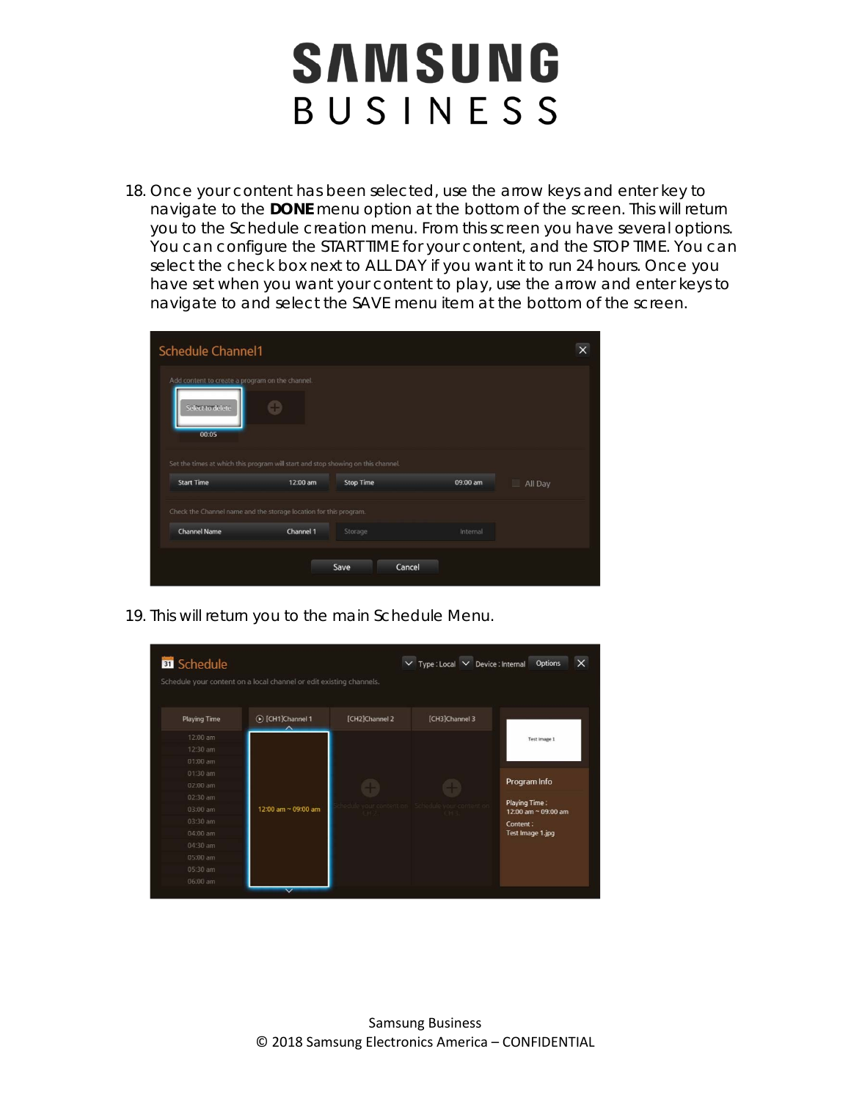18. Once your content has been selected, use the arrow keys and enter key to navigate to the **DONE** menu option at the bottom of the screen. This will return you to the Schedule creation menu. From this screen you have several options. You can configure the START TIME for your content, and the STOP TIME. You can select the check box next to ALL DAY if you want it to run 24 hours. Once you have set when you want your content to play, use the arrow and enter keys to navigate to and select the SAVE menu item at the bottom of the screen.

| <b>Schedule Channel1</b>                                                         |           |                  |          |         | $\times$ |
|----------------------------------------------------------------------------------|-----------|------------------|----------|---------|----------|
| Add content to create a program on the channel.<br>Select to delete<br>00.05     | Ð         |                  |          |         |          |
| Set the times at which this program will start and stop showing on this channel. |           |                  |          |         |          |
| <b>Start Time</b>                                                                | 12:00 am  | <b>Stop Time</b> | 09:00 am | All Day |          |
| Check the Channel name and the storage location for this program.                |           |                  |          |         |          |
| <b>Channel Name</b>                                                              | Channel 1 | Storage          | Internal |         |          |
|                                                                                  |           | Cancel<br>Save   |          |         |          |

19. This will return you to the main Schedule Menu.

| <b>Playing Time</b> | (b) [CH1]Channel 1  | [CH2]Channel 2 | [CH3]Channel 3                                  |                                      |
|---------------------|---------------------|----------------|-------------------------------------------------|--------------------------------------|
| 12:00 am            |                     |                |                                                 | Test Image 1                         |
| 12:30 am            |                     |                |                                                 |                                      |
| 01:00 am            |                     |                |                                                 |                                      |
| 01:30 am            |                     |                |                                                 |                                      |
| 02:00 am            |                     |                |                                                 | Program Info                         |
| 02:30 am            |                     |                |                                                 |                                      |
| 03:00 am            | 12:00 am ~ 09:00 am | 342            | hedule your content on Schedule your content on | Playing Time:<br>12:00 am ~ 09:00 am |
| 03:30 am            |                     |                |                                                 | Content:                             |
| 04:00 am            |                     |                |                                                 | Test Image 1.jpg                     |
| 04:30 am            |                     |                |                                                 |                                      |
| 05:00 am            |                     |                |                                                 |                                      |
| 05:30 am            |                     |                |                                                 |                                      |
| 06:00 am            |                     |                |                                                 |                                      |